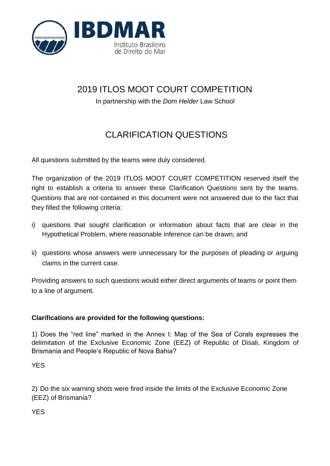

## 2019 ITLOS MOOT COURT COMPETITION

In partnership with the *Dom Helder* Law School

## CLARIFICATION QUESTIONS

All questions submitted by the teams were duly considered.

The organization of the 2019 ITLOS MOOT COURT COMPETITION reserved itself the right to establish a criteria to answer these Clarification Questions sent by the teams. Questions that are not contained in this document were not answered due to the fact that they filled the following criteria:

- i) questions that sought clarification or information about facts that are clear in the Hypothetical Problem, where reasonable inference can be drawn; and
- ii) questions whose answers were unnecessary for the purposes of pleading or arguing claims in the current case.

Providing answers to such questions would either direct arguments of teams or point them to a line of argument.

## **Clarifications are provided for the following questions:**

1) Does the "red line" marked in the Annex I: Map of the Sea of Corals expresses the delimitation of the Exclusive Economic Zone (EEZ) of Republic of Disali, Kingdom of Brismania and People's Republic of Nova Bahia?

YES

2) Do the six warning shots were fired inside the limits of the Exclusive Economic Zone (EEZ) of Brismania?

**YES**